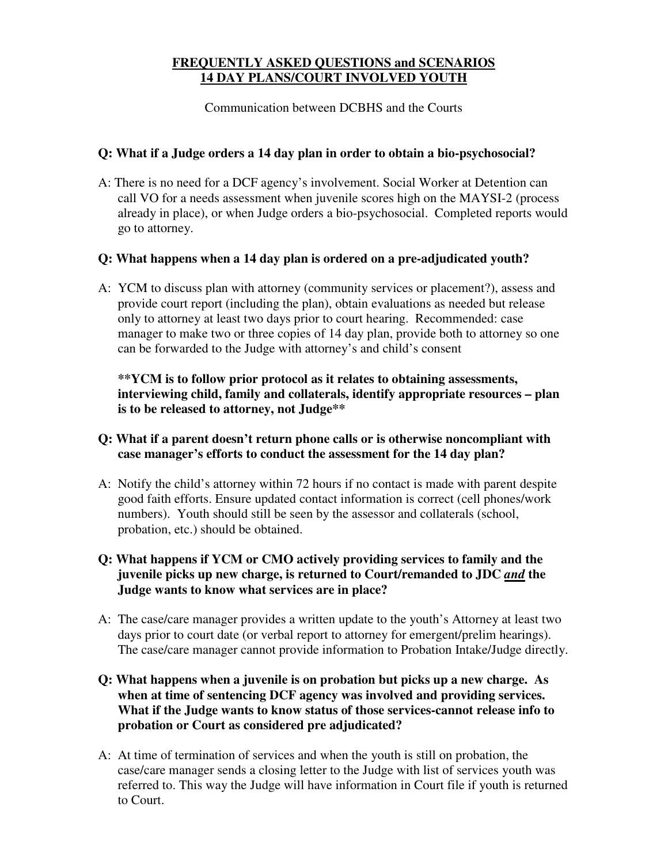## **FREQUENTLY ASKED QUESTIONS and SCENARIOS 14 DAY PLANS/COURT INVOLVED YOUTH**

Communication between DCBHS and the Courts

### **Q: What if a Judge orders a 14 day plan in order to obtain a bio-psychosocial?**

A: There is no need for a DCF agency's involvement. Social Worker at Detention can call VO for a needs assessment when juvenile scores high on the MAYSI-2 (process already in place), or when Judge orders a bio-psychosocial. Completed reports would go to attorney.

#### **Q: What happens when a 14 day plan is ordered on a pre-adjudicated youth?**

A: YCM to discuss plan with attorney (community services or placement?), assess and provide court report (including the plan), obtain evaluations as needed but release only to attorney at least two days prior to court hearing. Recommended: case manager to make two or three copies of 14 day plan, provide both to attorney so one can be forwarded to the Judge with attorney's and child's consent

**\*\*YCM is to follow prior protocol as it relates to obtaining assessments, interviewing child, family and collaterals, identify appropriate resources – plan is to be released to attorney, not Judge\*\***

#### **Q: What if a parent doesn't return phone calls or is otherwise noncompliant with case manager's efforts to conduct the assessment for the 14 day plan?**

- A: Notify the child's attorney within 72 hours if no contact is made with parent despite good faith efforts. Ensure updated contact information is correct (cell phones/work numbers). Youth should still be seen by the assessor and collaterals (school, probation, etc.) should be obtained.
- **Q: What happens if YCM or CMO actively providing services to family and the juvenile picks up new charge, is returned to Court/remanded to JDC** *and* **the Judge wants to know what services are in place?**
- A: The case/care manager provides a written update to the youth's Attorney at least two days prior to court date (or verbal report to attorney for emergent/prelim hearings). The case/care manager cannot provide information to Probation Intake/Judge directly.
- **Q: What happens when a juvenile is on probation but picks up a new charge. As when at time of sentencing DCF agency was involved and providing services. What if the Judge wants to know status of those services-cannot release info to probation or Court as considered pre adjudicated?**
- A: At time of termination of services and when the youth is still on probation, the case/care manager sends a closing letter to the Judge with list of services youth was referred to. This way the Judge will have information in Court file if youth is returned to Court.